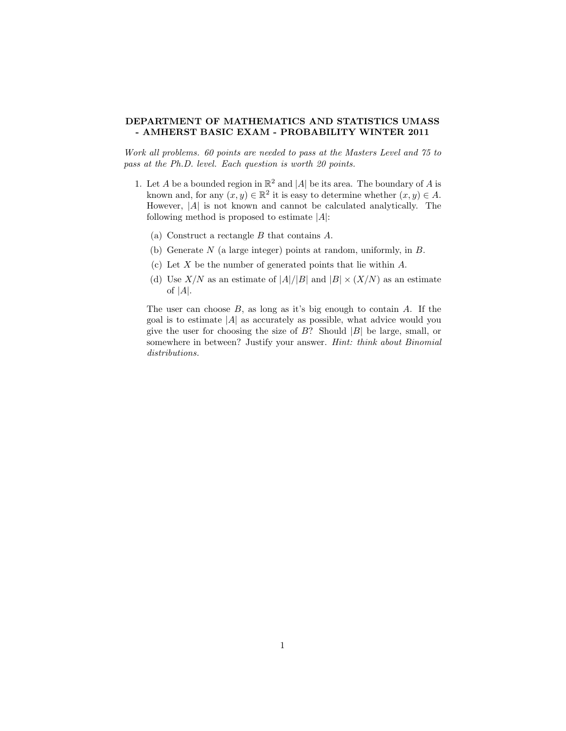## DEPARTMENT OF MATHEMATICS AND STATISTICS UMASS - AMHERST BASIC EXAM - PROBABILITY WINTER 2011

Work all problems. 60 points are needed to pass at the Masters Level and 75 to pass at the Ph.D. level. Each question is worth 20 points.

- 1. Let A be a bounded region in  $\mathbb{R}^2$  and |A| be its area. The boundary of A is known and, for any  $(x, y) \in \mathbb{R}^2$  it is easy to determine whether  $(x, y) \in A$ . However,  $|A|$  is not known and cannot be calculated analytically. The following method is proposed to estimate  $|A|$ :
	- (a) Construct a rectangle B that contains A.
	- (b) Generate N (a large integer) points at random, uniformly, in B.
	- (c) Let X be the number of generated points that lie within  $A$ .
	- (d) Use  $X/N$  as an estimate of  $|A|/|B|$  and  $|B| \times (X/N)$  as an estimate of  $|A|$ .

The user can choose  $B$ , as long as it's big enough to contain  $A$ . If the goal is to estimate  $|A|$  as accurately as possible, what advice would you give the user for choosing the size of  $B$ ? Should  $|B|$  be large, small, or somewhere in between? Justify your answer. Hint: think about Binomial distributions.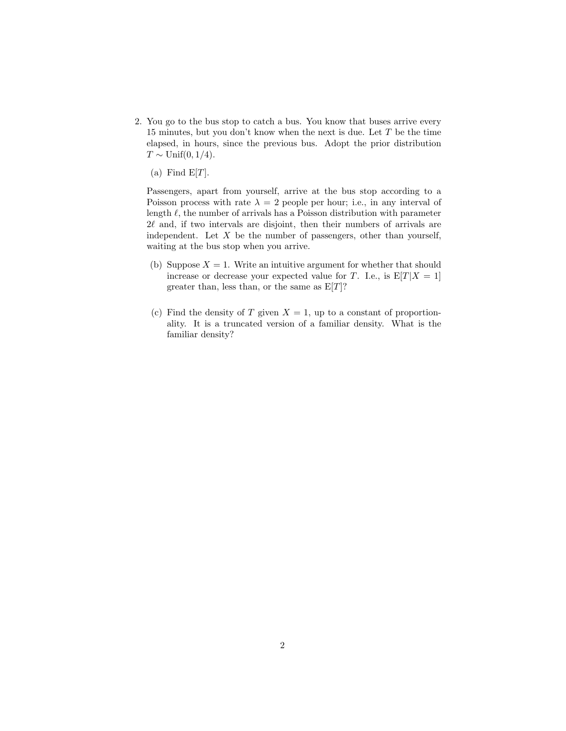2. You go to the bus stop to catch a bus. You know that buses arrive every 15 minutes, but you don't know when the next is due. Let  $T$  be the time elapsed, in hours, since the previous bus. Adopt the prior distribution  $T \sim \text{Unif}(0, 1/4).$ 

(a) Find  $E[T]$ .

Passengers, apart from yourself, arrive at the bus stop according to a Poisson process with rate  $\lambda = 2$  people per hour; i.e., in any interval of length  $\ell$ , the number of arrivals has a Poisson distribution with parameter  $2\ell$  and, if two intervals are disjoint, then their numbers of arrivals are independent. Let  $X$  be the number of passengers, other than yourself, waiting at the bus stop when you arrive.

- (b) Suppose  $X = 1$ . Write an intuitive argument for whether that should increase or decrease your expected value for T. I.e., is  $E[T|X = 1]$ greater than, less than, or the same as  $E[T]$ ?
- (c) Find the density of T given  $X = 1$ , up to a constant of proportionality. It is a truncated version of a familiar density. What is the familiar density?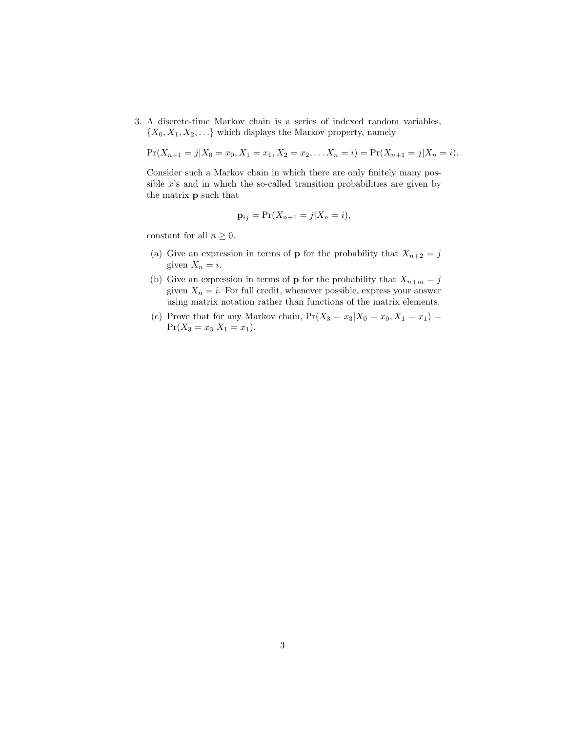3. A discrete-time Markov chain is a series of indexed random variables,  $\{X_0, X_1, X_2, \ldots\}$  which displays the Markov property, namely

$$
Pr(X_{n+1}=j|X_0=x_0,X_1=x_1,X_2=x_2,\ldots X_n=i)=Pr(X_{n+1}=j|X_n=i).
$$

Consider such a Markov chain in which there are only finitely many possible  $x$ 's and in which the so-called transition probabilities are given by the matrix p such that

$$
\mathbf{p}_{ij} = \Pr(X_{n+1} = j | X_n = i),
$$

constant for all  $n \geq 0$ .

- (a) Give an expression in terms of **p** for the probability that  $X_{n+2} = j$ given  $X_n = i$ .
- (b) Give an expression in terms of **p** for the probability that  $X_{n+m} = j$ given  $X_n = i$ . For full credit, whenever possible, express your answer using matrix notation rather than functions of the matrix elements.
- (c) Prove that for any Markov chain,  $Pr(X_3 = x_3 | X_0 = x_0, X_1 = x_1)$  $Pr(X_3 = x_3 | X_1 = x_1).$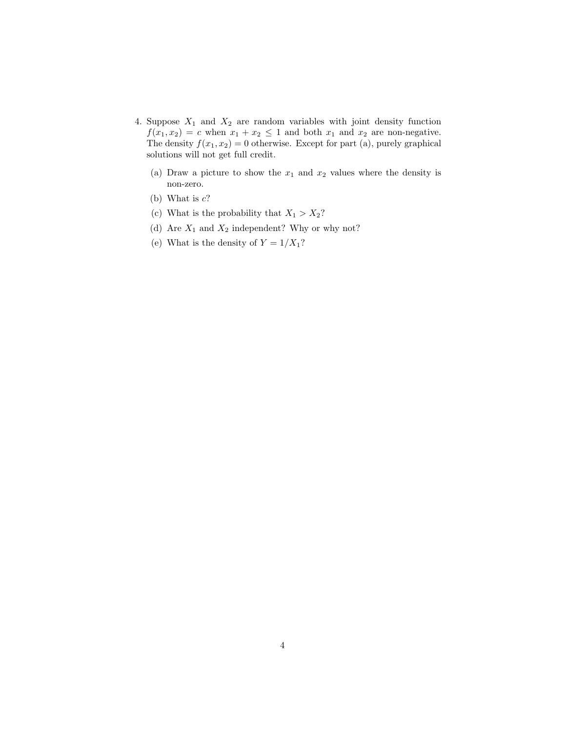- 4. Suppose  $X_1$  and  $X_2$  are random variables with joint density function  $f(x_1, x_2) = c$  when  $x_1 + x_2 \leq 1$  and both  $x_1$  and  $x_2$  are non-negative. The density  $f(x_1, x_2) = 0$  otherwise. Except for part (a), purely graphical solutions will not get full credit.
	- (a) Draw a picture to show the  $x_1$  and  $x_2$  values where the density is non-zero.
	- (b) What is  $c$ ?
	- (c) What is the probability that  $X_1 > X_2$ ?
	- (d) Are  $X_1$  and  $X_2$  independent? Why or why not?
	- (e) What is the density of  $Y = 1/X_1?$